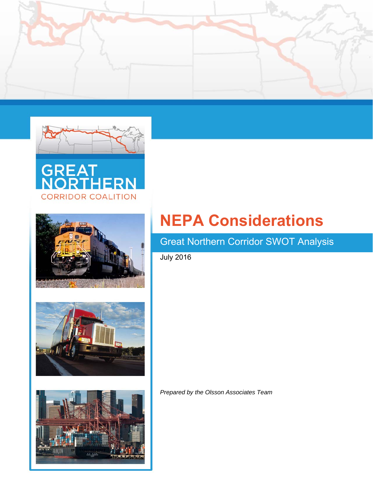











# **NEPA Considerations**

# Great Northern Corridor SWOT Analysis

July 2016

*Prepared by the Olsson Associates Team*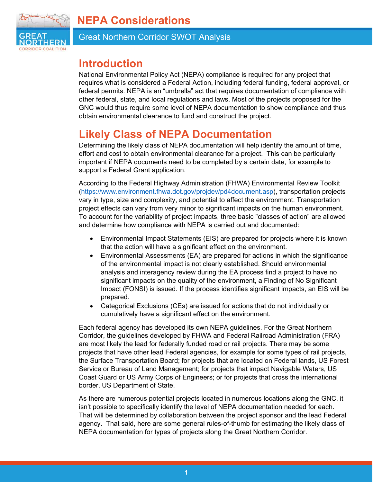



Great Northern Corridor SWOT Analysis

### **Introduction**

National Environmental Policy Act (NEPA) compliance is required for any project that requires what is considered a Federal Action, including federal funding, federal approval, or federal permits. NEPA is an "umbrella" act that requires documentation of compliance with other federal, state, and local regulations and laws. Most of the projects proposed for the GNC would thus require some level of NEPA documentation to show compliance and thus obtain environmental clearance to fund and construct the project.

# **Likely Class of NEPA Documentation**

Determining the likely class of NEPA documentation will help identify the amount of time, effort and cost to obtain environmental clearance for a project. This can be particularly important if NEPA documents need to be completed by a certain date, for example to support a Federal Grant application.

According to the Federal Highway Administration (FHWA) Environmental Review Toolkit (https://www.environment.fhwa.dot.gov/projdev/pd4document.asp), transportation projects vary in type, size and complexity, and potential to affect the environment. Transportation project effects can vary from very minor to significant impacts on the human environment. To account for the variability of project impacts, three basic "classes of action" are allowed and determine how compliance with NEPA is carried out and documented:

- Environmental Impact Statements (EIS) are prepared for projects where it is known that the action will have a significant effect on the environment.
- Environmental Assessments (EA) are prepared for actions in which the significance of the environmental impact is not clearly established. Should environmental analysis and interagency review during the EA process find a project to have no significant impacts on the quality of the environment, a Finding of No Significant Impact (FONSI) is issued. If the process identifies significant impacts, an EIS will be prepared.
- Categorical Exclusions (CEs) are issued for actions that do not individually or cumulatively have a significant effect on the environment.

Each federal agency has developed its own NEPA guidelines. For the Great Northern Corridor, the guidelines developed by FHWA and Federal Railroad Administration (FRA) are most likely the lead for federally funded road or rail projects. There may be some projects that have other lead Federal agencies, for example for some types of rail projects, the Surface Transportation Board; for projects that are located on Federal lands, US Forest Service or Bureau of Land Management; for projects that impact Navigable Waters, US Coast Guard or US Army Corps of Engineers; or for projects that cross the international border, US Department of State.

As there are numerous potential projects located in numerous locations along the GNC, it isn't possible to specifically identify the level of NEPA documentation needed for each. That will be determined by collaboration between the project sponsor and the lead Federal agency. That said, here are some general rules-of-thumb for estimating the likely class of NEPA documentation for types of projects along the Great Northern Corridor.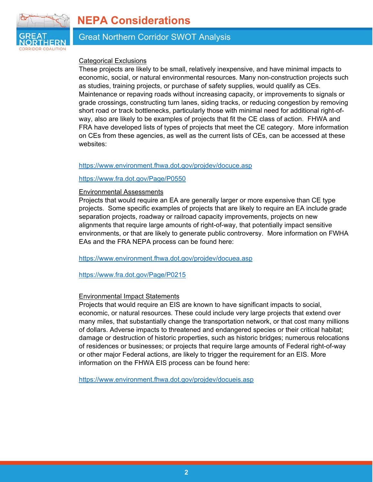### **NEPA Considerations**



#### Great Northern Corridor SWOT Analysis

#### Categorical Exclusions

These projects are likely to be small, relatively inexpensive, and have minimal impacts to economic, social, or natural environmental resources. Many non-construction projects such as studies, training projects, or purchase of safety supplies, would qualify as CEs. Maintenance or repaving roads without increasing capacity, or improvements to signals or grade crossings, constructing turn lanes, siding tracks, or reducing congestion by removing short road or track bottlenecks, particularly those with minimal need for additional right-ofway, also are likely to be examples of projects that fit the CE class of action. FHWA and FRA have developed lists of types of projects that meet the CE category. More information on CEs from these agencies, as well as the current lists of CEs, can be accessed at these websites:

#### https://www.environment.fhwa.dot.gov/projdev/docuce.asp

#### https://www.fra.dot.gov/Page/P0550

#### Environmental Assessments

Projects that would require an EA are generally larger or more expensive than CE type projects. Some specific examples of projects that are likely to require an EA include grade separation projects, roadway or railroad capacity improvements, projects on new alignments that require large amounts of right-of-way, that potentially impact sensitive environments, or that are likely to generate public controversy. More information on FWHA EAs and the FRA NEPA process can be found here:

https://www.environment.fhwa.dot.gov/projdev/docuea.asp

https://www.fra.dot.gov/Page/P0215

#### Environmental Impact Statements

Projects that would require an EIS are known to have significant impacts to social, economic, or natural resources. These could include very large projects that extend over many miles, that substantially change the transportation network, or that cost many millions of dollars. Adverse impacts to threatened and endangered species or their critical habitat; damage or destruction of historic properties, such as historic bridges; numerous relocations of residences or businesses; or projects that require large amounts of Federal right-of-way or other major Federal actions, are likely to trigger the requirement for an EIS. More information on the FHWA EIS process can be found here:

https://www.environment.fhwa.dot.gov/projdev/docueis.asp